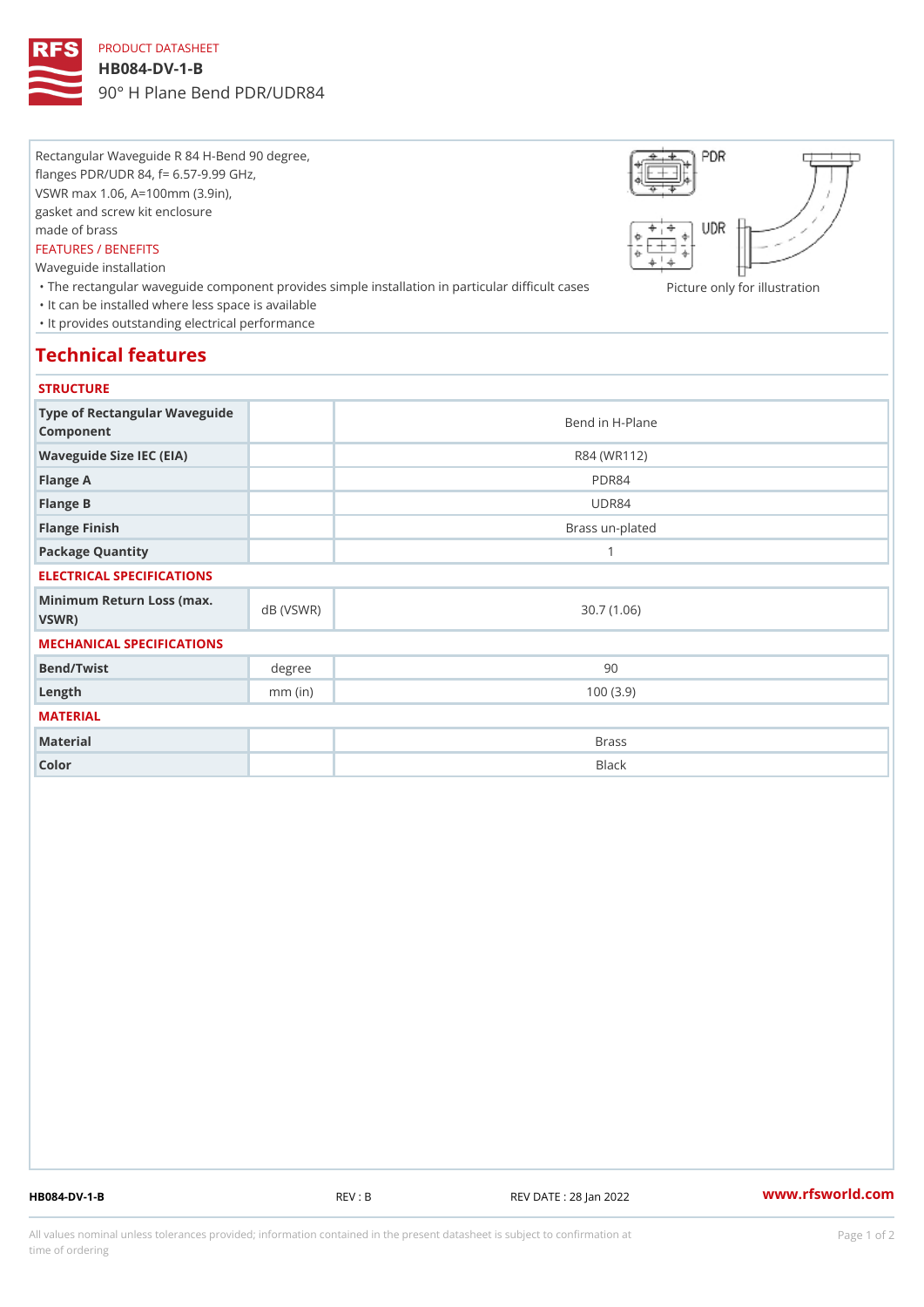# PRODUCT DATASHEET

### HB084-DV-1-B

90° H Plane Bend PDR/UDR84

Rectangular Waveguide R 84 H-Bend 90 degree, flanges PDR/UDR 84, f= 6.57-9.99 GHz, VSWR max 1.06, A=100mm (3.9in), gasket and screw kit enclosure made of brass FEATURES / BENEFITS Waveguide installation

"The rectangular waveguide component provides simple installation in pactionelannbyiffocuilhursents as ion "It can be installed where less space is available "It provides outstanding electrical performance

# Technical features

### **STRUCTURE**

| Type of Rectangular Waveguide<br>Component       |           | Bend in H-Plane |
|--------------------------------------------------|-----------|-----------------|
| Waveguide Size IEC (EIA)                         |           | R84 (WR112)     |
| Flange A                                         |           | PDR84           |
| Flange B                                         |           | UDR84           |
| Flange Finish                                    |           | Brass un-plated |
| Package Quantity                                 |           | $\mathbf{1}$    |
| ELECTRICAL SPECIFICATIONS                        |           |                 |
| Minimum Return Loss (nax (VSWR)<br>$V$ S W R $)$ |           | 30.7(1.06)      |
| MECHANICAL SPECIFICATIONS                        |           |                 |
| Bend/Twist                                       | degree    | 90              |
| $L$ ength                                        | $mm$ (in) | 100(3.9)        |
| MATERIAL                                         |           |                 |
| Material                                         |           | <b>Brass</b>    |
| Color                                            |           | Black           |

HB084-DV-1-B REV : B REV DATE : 28 Jan 2022 [www.](https://www.rfsworld.com)rfsworld.com